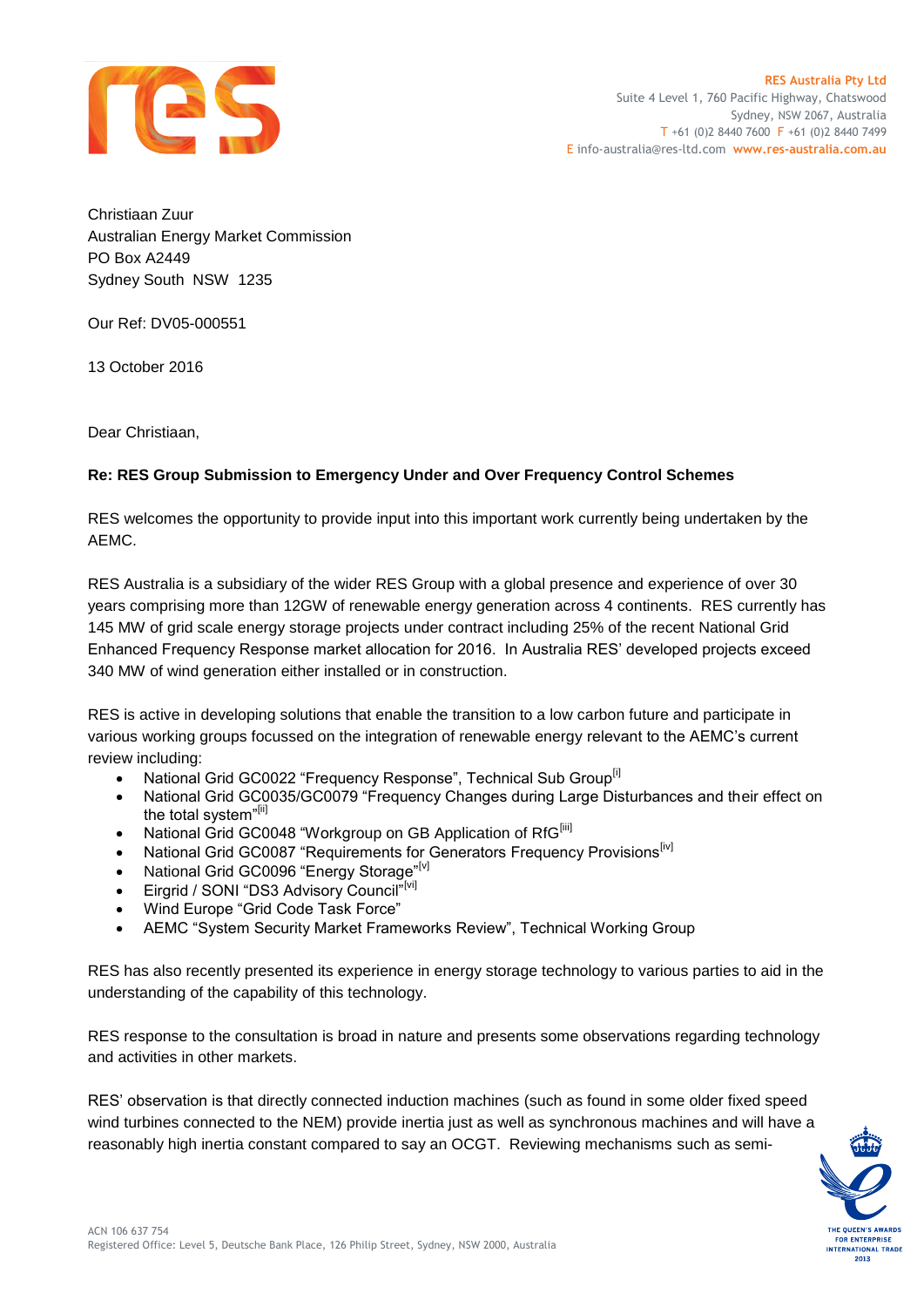

Christiaan Zuur Australian Energy Market Commission PO Box A2449 Sydney South NSW 1235

Our Ref: DV05-000551

13 October 2016

Dear Christiaan,

### **Re: RES Group Submission to Emergency Under and Over Frequency Control Schemes**

RES welcomes the opportunity to provide input into this important work currently being undertaken by the AEMC.

RES Australia is a subsidiary of the wider RES Group with a global presence and experience of over 30 years comprising more than 12GW of renewable energy generation across 4 continents. RES currently has 145 MW of grid scale energy storage projects under contract including 25% of the recent National Grid Enhanced Frequency Response market allocation for 2016. In Australia RES' developed projects exceed 340 MW of wind generation either installed or in construction.

RES is active in developing solutions that enable the transition to a low carbon future and participate in various working groups focussed on the integration of renewable energy relevant to the AEMC's current review including:

- National Grid GC0022 "Frequency Response", Technical Sub Group<sup>[i]</sup>
- National Grid GC0035/GC0079 "Frequency Changes during Large Disturbances and their effect on the total system"[ii]
- National Grid GC0048 "Workgroup on GB Application of RfG<sup>[iii]</sup>
- National Grid GC0087 "Requirements for Generators Frequency Provisions<sup>[iv]</sup>
- National Grid GC0096 "Energy Storage"<sup>[v]</sup>
- **Eirgrid / SONI "DS3 Advisory Council"**[vi]
- Wind Europe "Grid Code Task Force"
- AEMC "System Security Market Frameworks Review", Technical Working Group

RES has also recently presented its experience in energy storage technology to various parties to aid in the understanding of the capability of this technology.

RES response to the consultation is broad in nature and presents some observations regarding technology and activities in other markets.

RES' observation is that directly connected induction machines (such as found in some older fixed speed wind turbines connected to the NEM) provide inertia just as well as synchronous machines and will have a reasonably high inertia constant compared to say an OCGT. Reviewing mechanisms such as semi-

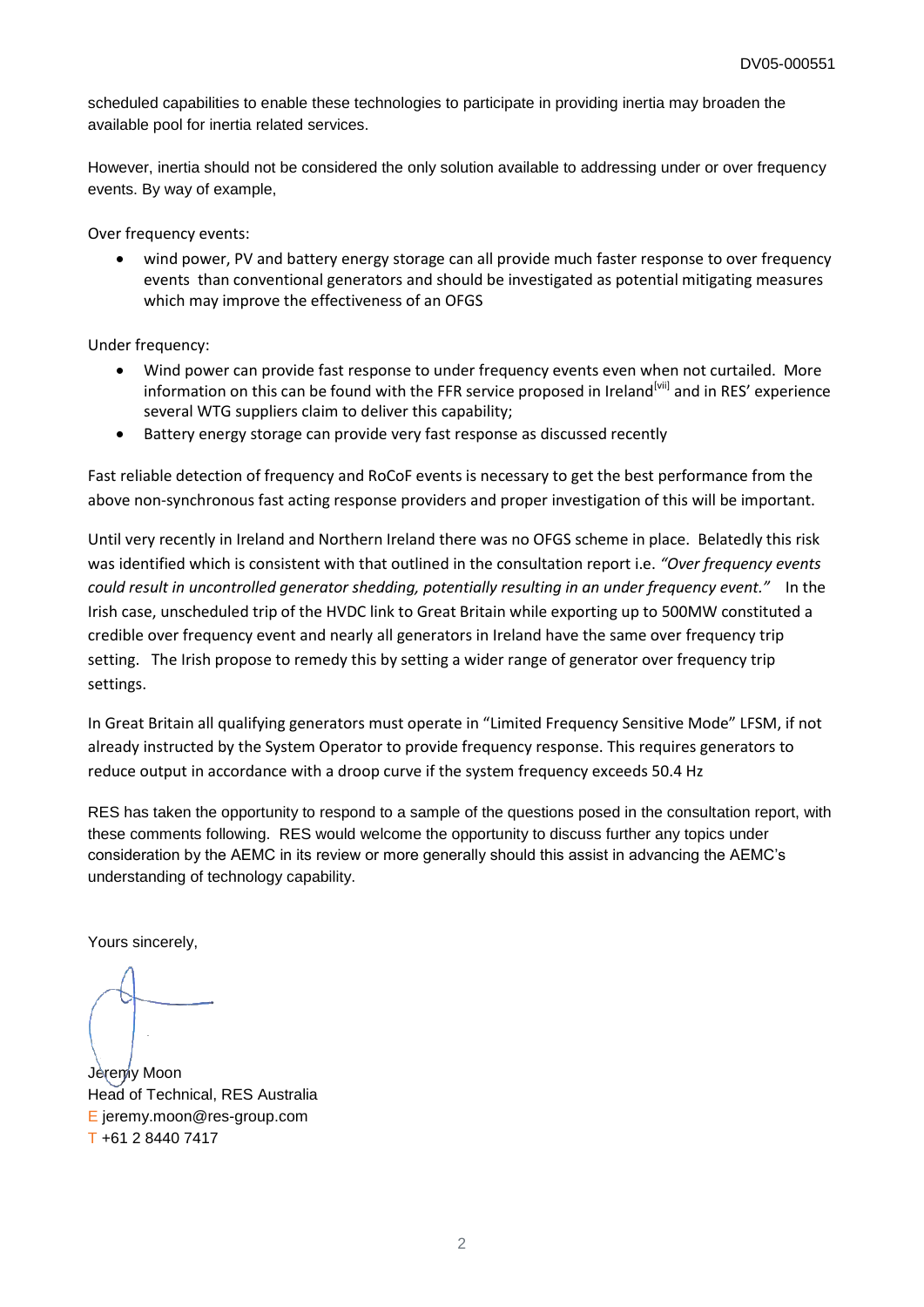scheduled capabilities to enable these technologies to participate in providing inertia may broaden the available pool for inertia related services.

However, inertia should not be considered the only solution available to addressing under or over frequency events. By way of example,

Over frequency events:

 wind power, PV and battery energy storage can all provide much faster response to over frequency events than conventional generators and should be investigated as potential mitigating measures which may improve the effectiveness of an OFGS

Under frequency:

- Wind power can provide fast response to under frequency events even when not curtailed. More information on this can be found with the FFR service proposed in Ireland<sup>[vii]</sup> and in RES' experience several WTG suppliers claim to deliver this capability;
- Battery energy storage can provide very fast response as discussed recently

Fast reliable detection of frequency and RoCoF events is necessary to get the best performance from the above non-synchronous fast acting response providers and proper investigation of this will be important.

Until very recently in Ireland and Northern Ireland there was no OFGS scheme in place. Belatedly this risk was identified which is consistent with that outlined in the consultation report i.e. *"Over frequency events could result in uncontrolled generator shedding, potentially resulting in an under frequency event."* In the Irish case, unscheduled trip of the HVDC link to Great Britain while exporting up to 500MW constituted a credible over frequency event and nearly all generators in Ireland have the same over frequency trip setting. The Irish propose to remedy this by setting a wider range of generator over frequency trip settings.

In Great Britain all qualifying generators must operate in "Limited Frequency Sensitive Mode" LFSM, if not already instructed by the System Operator to provide frequency response. This requires generators to reduce output in accordance with a droop curve if the system frequency exceeds 50.4 Hz

RES has taken the opportunity to respond to a sample of the questions posed in the consultation report, with these comments following. RES would welcome the opportunity to discuss further any topics under consideration by the AEMC in its review or more generally should this assist in advancing the AEMC's understanding of technology capability.

Yours sincerely,

Jeremy Moon Head of Technical, RES Australia E jeremy.moon@res-group.com T +61 2 8440 7417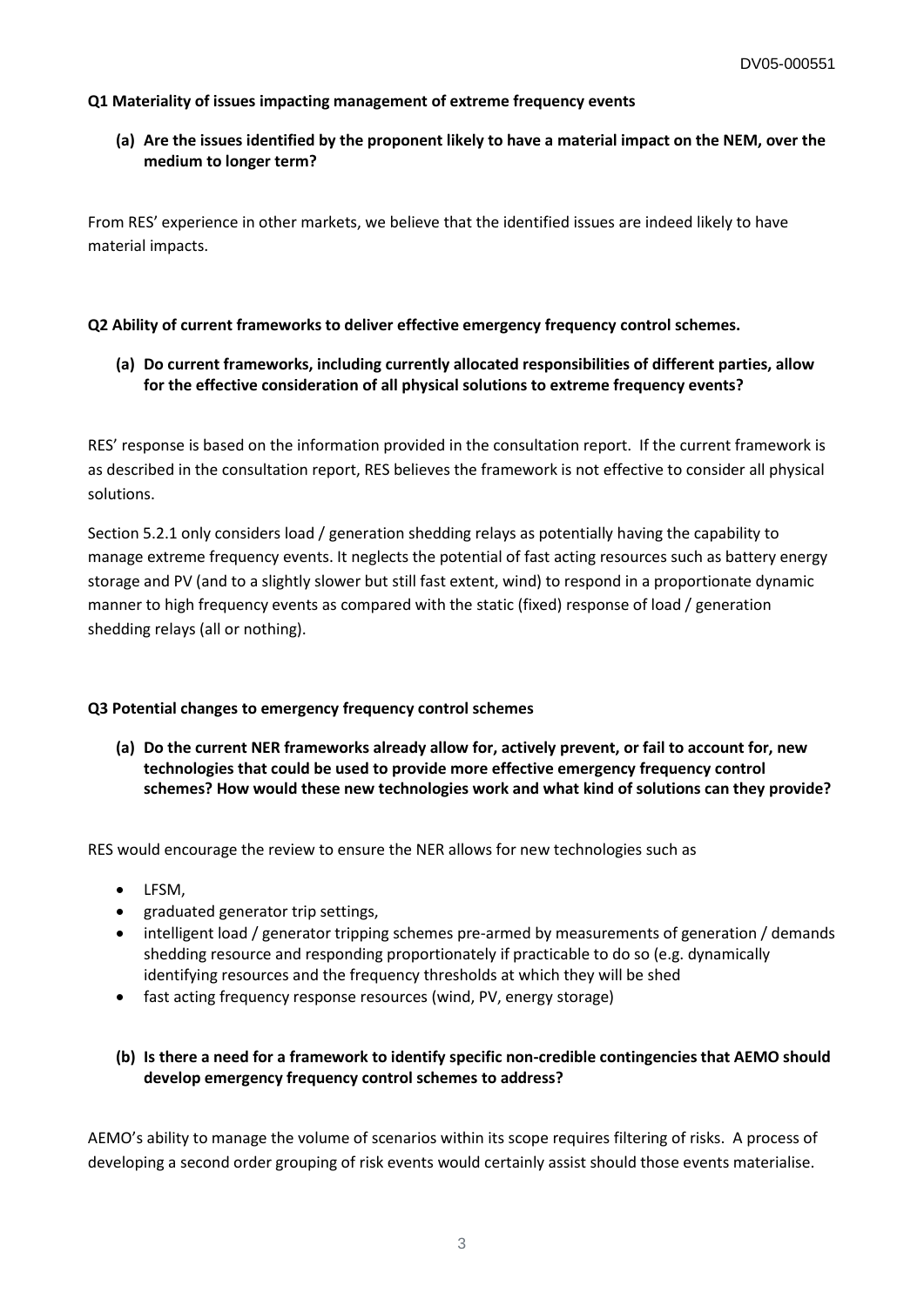### **Q1 Materiality of issues impacting management of extreme frequency events**

## **(a) Are the issues identified by the proponent likely to have a material impact on the NEM, over the medium to longer term?**

From RES' experience in other markets, we believe that the identified issues are indeed likely to have material impacts.

### **Q2 Ability of current frameworks to deliver effective emergency frequency control schemes.**

**(a) Do current frameworks, including currently allocated responsibilities of different parties, allow for the effective consideration of all physical solutions to extreme frequency events?**

RES' response is based on the information provided in the consultation report. If the current framework is as described in the consultation report, RES believes the framework is not effective to consider all physical solutions.

Section 5.2.1 only considers load / generation shedding relays as potentially having the capability to manage extreme frequency events. It neglects the potential of fast acting resources such as battery energy storage and PV (and to a slightly slower but still fast extent, wind) to respond in a proportionate dynamic manner to high frequency events as compared with the static (fixed) response of load / generation shedding relays (all or nothing).

### **Q3 Potential changes to emergency frequency control schemes**

**(a) Do the current NER frameworks already allow for, actively prevent, or fail to account for, new technologies that could be used to provide more effective emergency frequency control schemes? How would these new technologies work and what kind of solutions can they provide?**

RES would encourage the review to ensure the NER allows for new technologies such as

- LFSM,
- graduated generator trip settings,
- intelligent load / generator tripping schemes pre-armed by measurements of generation / demands shedding resource and responding proportionately if practicable to do so (e.g. dynamically identifying resources and the frequency thresholds at which they will be shed
- fast acting frequency response resources (wind, PV, energy storage)

## **(b) Is there a need for a framework to identify specific non-credible contingencies that AEMO should develop emergency frequency control schemes to address?**

AEMO's ability to manage the volume of scenarios within its scope requires filtering of risks. A process of developing a second order grouping of risk events would certainly assist should those events materialise.